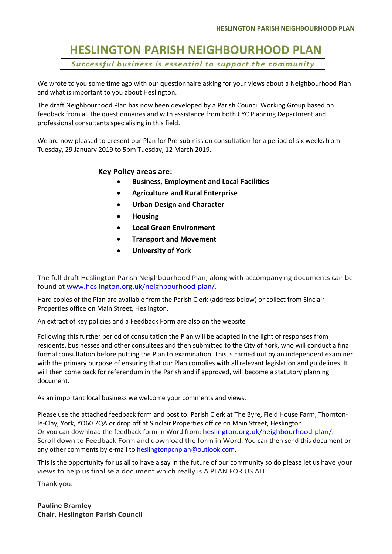## **HESLINGTON PARISH NEIGHBOURHOOD PLAN** *Successful business is essential to support the community*

We wrote to you some time ago with our questionnaire asking for your views about a Neighbourhood Plan and what is important to you about Heslington.

The draft Neighbourhood Plan has now been developed by a Parish Council Working Group based on feedback from all the questionnaires and with assistance from both CYC Planning Department and professional consultants specialising in this field.

We are now pleased to present our Plan for Pre-submission consultation for a period of six weeks from Tuesday, 29 January 2019 to 5pm Tuesday, 12 March 2019.

#### **Key Policy areas are:**

- **Business, Employment and Local Facilities**
- **Agriculture and Rural Enterprise**
- **Urban Design and Character**
- **Housing**
- **Local Green Environment**
- **Transport and Movement**
- **University of York**

The full draft Heslington Parish Neighbourhood Plan, along with accompanying documents can be found at www.heslington.org.uk/neighbourhood-plan/.

Hard copies of the Plan are available from the Parish Clerk (address below) or collect from Sinclair Properties office on Main Street, Heslington.

An extract of key policies and a Feedback Form are also on the website

Following this further period of consultation the Plan will be adapted in the light of responses from residents, businesses and other consultees and then submitted to the City of York, who will conduct a final formal consultation before putting the Plan to examination. This is carried out by an independent examiner with the primary purpose of ensuring that our Plan complies with all relevant legislation and guidelines. It will then come back for referendum in the Parish and if approved, will become a statutory planning document.

As an important local business we welcome your comments and views.

Please use the attached feedback form and post to: Parish Clerk at The Byre, Field House Farm, Thorntonle-Clay, York, YO60 7QA or drop off at Sinclair Properties office on Main Street, Heslington. Or you can download the feedback form in Word from: heslington.org.uk/neighbourhood-plan/. Scroll down to Feedback Form and download the form in Word. You can then send this document or any other comments by e-mail to heslingtonpcnplan@outlook.com.

This is the opportunity for us all to have a say in the future of our community so do please let us have your views to help us finalise a document which really is A PLAN FOR US ALL.

Thank you.

**Pauline Bramley Chair, Heslington Parish Council**

\_\_\_\_\_\_\_\_\_\_\_\_\_\_\_\_\_\_\_\_